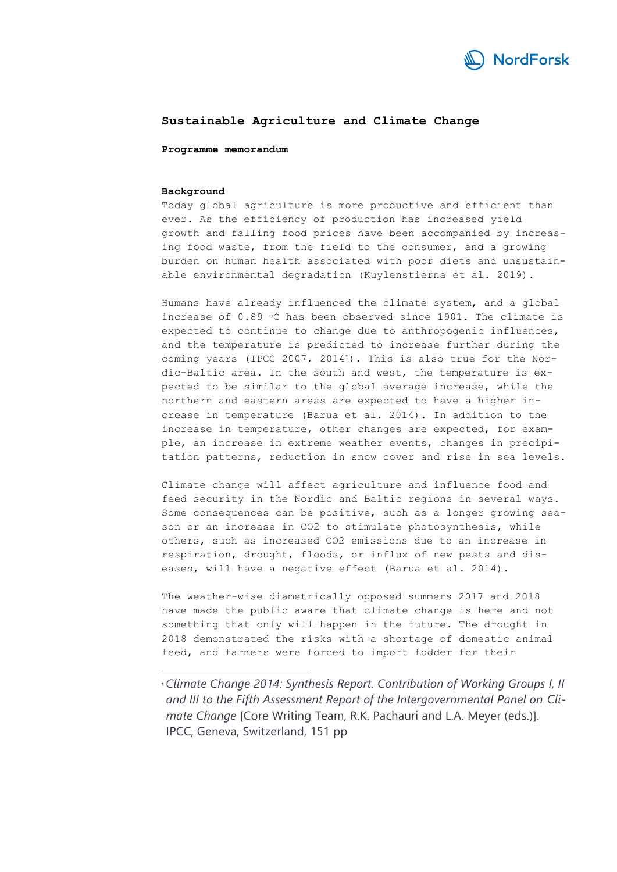

# **Sustainable Agriculture and Climate Change**

**Programme memorandum**

#### **Background**

Today global agriculture is more productive and efficient than ever. As the efficiency of production has increased yield growth and falling food prices have been accompanied by increasing food waste, from the field to the consumer, and a growing burden on human health associated with poor diets and unsustainable environmental degradation (Kuylenstierna et al. 2019).

Humans have already influenced the climate system, and a global increase of  $0.89$  °C has been observed since 1901. The climate is expected to continue to change due to anthropogenic influences, and the temperature is predicted to increase further during the coming years (IPCC 2007, 2014<sup>1</sup>). This is also true for the Nordic-Baltic area. In the south and west, the temperature is expected to be similar to the global average increase, while the northern and eastern areas are expected to have a higher increase in temperature (Barua et al. 2014). In addition to the increase in temperature, other changes are expected, for example, an increase in extreme weather events, changes in precipitation patterns, reduction in snow cover and rise in sea levels.

Climate change will affect agriculture and influence food and feed security in the Nordic and Baltic regions in several ways. Some consequences can be positive, such as a longer growing season or an increase in CO2 to stimulate photosynthesis, while others, such as increased CO2 emissions due to an increase in respiration, drought, floods, or influx of new pests and diseases, will have a negative effect (Barua et al. 2014).

The weather-wise diametrically opposed summers 2017 and 2018 have made the public aware that climate change is here and not something that only will happen in the future. The drought in 2018 demonstrated the risks with a shortage of domestic animal feed, and farmers were forced to import fodder for their

<sup>1</sup>*Climate Change 2014: Synthesis Report. Contribution of Working Groups I, II and III to the Fifth Assessment Report of the Intergovernmental Panel on Climate Change* [Core Writing Team, R.K. Pachauri and L.A. Meyer (eds.)]. IPCC, Geneva, Switzerland, 151 pp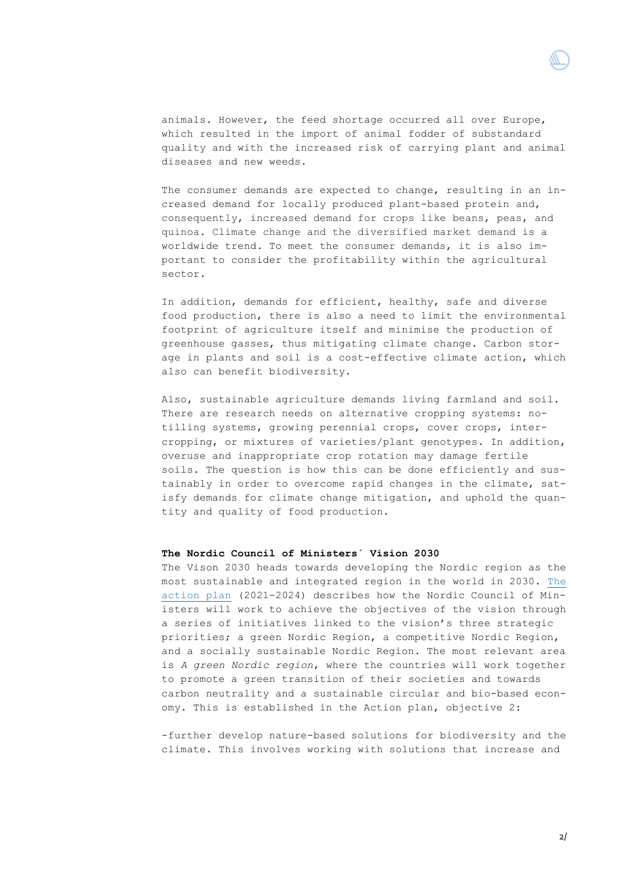

animals. However, the feed shortage occurred all over Europe, which resulted in the import of animal fodder of substandard quality and with the increased risk of carrying plant and animal diseases and new weeds.

The consumer demands are expected to change, resulting in an increased demand for locally produced plant-based protein and, consequently, increased demand for crops like beans, peas, and quinoa. Climate change and the diversified market demand is a worldwide trend. To meet the consumer demands, it is also important to consider the profitability within the agricultural sector.

In addition, demands for efficient, healthy, safe and diverse food production, there is also a need to limit the environmental footprint of agriculture itself and minimise the production of greenhouse gasses, thus mitigating climate change. Carbon storage in plants and soil is a cost-effective climate action, which also can benefit biodiversity.

Also, sustainable agriculture demands living farmland and soil. There are research needs on alternative cropping systems: notilling systems, growing perennial crops, cover crops, intercropping, or mixtures of varieties/plant genotypes. In addition, overuse and inappropriate crop rotation may damage fertile soils. The question is how this can be done efficiently and sustainably in order to overcome rapid changes in the climate, satisfy demands for climate change mitigation, and uphold the quantity and quality of food production.

# **The Nordic Council of Ministers´ Vision 2030**

The Vison 2030 heads towards developing the Nordic region as the most sustainable and integrated region in the world in 2030. [The](https://www.norden.org/no/node/48481)  [action plan](https://www.norden.org/no/node/48481) (2021-2024) describes how the Nordic Council of Ministers will work to achieve the objectives of the vision through a series of initiatives linked to the vision's three strategic priorities; a green Nordic Region, a competitive Nordic Region, and a socially sustainable Nordic Region. The most relevant area is *A green Nordic region*, where the countries will work together to promote a green transition of their societies and towards carbon neutrality and a sustainable circular and bio-based economy. This is established in the Action plan, objective 2:

-further develop nature-based solutions for biodiversity and the climate. This involves working with solutions that increase and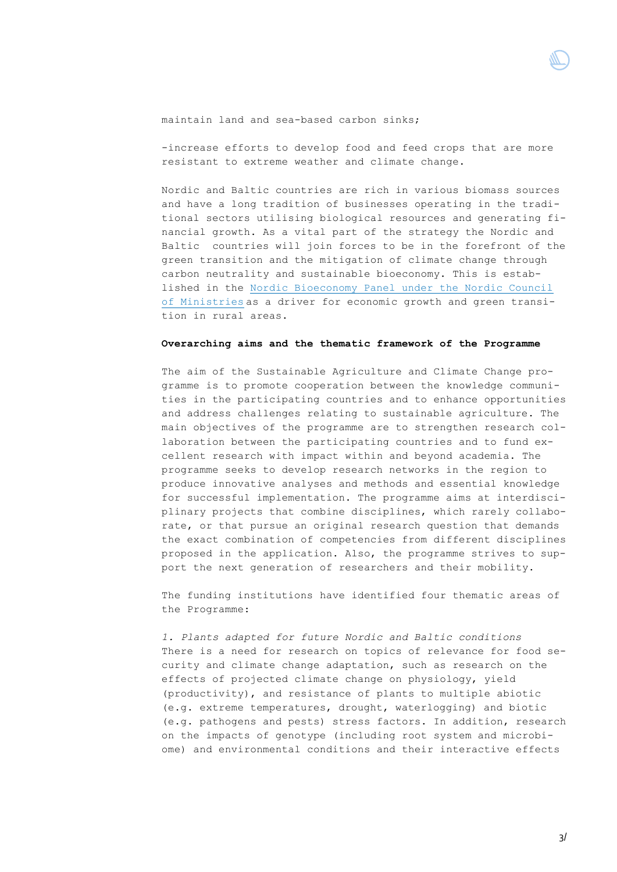#### maintain land and sea-based carbon sinks;

-increase efforts to develop food and feed crops that are more resistant to extreme weather and climate change.

Nordic and Baltic countries are rich in various biomass sources and have a long tradition of businesses operating in the traditional sectors utilising biological resources and generating financial growth. As a vital part of the strategy the Nordic and Baltic countries will join forces to be in the forefront of the green transition and the mitigation of climate change through carbon neutrality and sustainable bioeconomy. This is established in the [Nordic Bioeconomy Panel under the Nordic Council](https://norden.diva-portal.org/smash/get/diva2:1222743/FULLTEXT01.pdf)  [of Ministries](https://norden.diva-portal.org/smash/get/diva2:1222743/FULLTEXT01.pdf) as a driver for economic growth and green transition in rural areas.

### **Overarching aims and the thematic framework of the Programme**

The aim of the Sustainable Agriculture and Climate Change programme is to promote cooperation between the knowledge communities in the participating countries and to enhance opportunities and address challenges relating to sustainable agriculture. The main objectives of the programme are to strengthen research collaboration between the participating countries and to fund excellent research with impact within and beyond academia. The programme seeks to develop research networks in the region to produce innovative analyses and methods and essential knowledge for successful implementation. The programme aims at interdisciplinary projects that combine disciplines, which rarely collaborate, or that pursue an original research question that demands the exact combination of competencies from different disciplines proposed in the application. Also, the programme strives to support the next generation of researchers and their mobility.

The funding institutions have identified four thematic areas of the Programme:

*1. Plants adapted for future Nordic and Baltic conditions*  There is a need for research on topics of relevance for food security and climate change adaptation, such as research on the effects of projected climate change on physiology, yield (productivity), and resistance of plants to multiple abiotic (e.g. extreme temperatures, drought, waterlogging) and biotic (e.g. pathogens and pests) stress factors. In addition, research on the impacts of genotype (including root system and microbiome) and environmental conditions and their interactive effects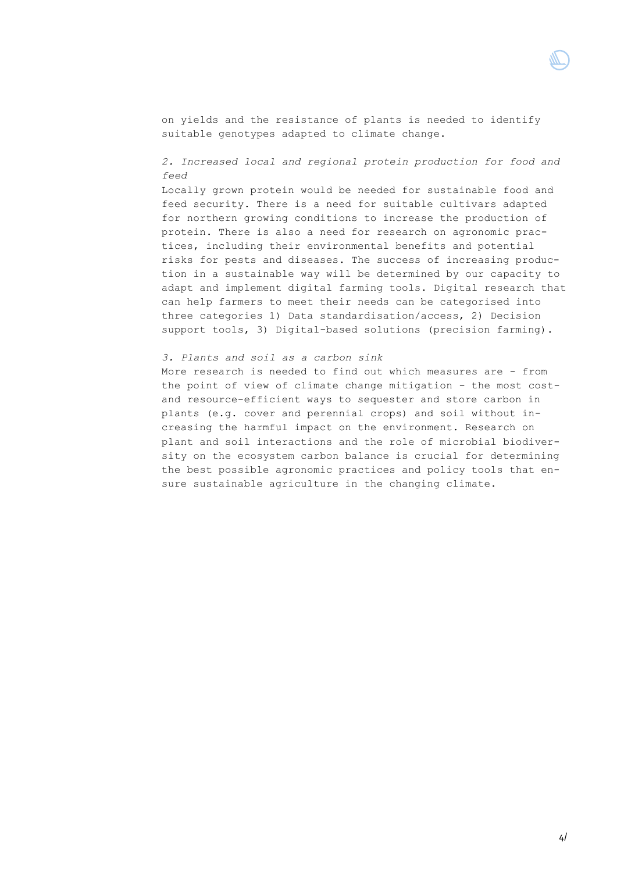

on yields and the resistance of plants is needed to identify suitable genotypes adapted to climate change.

*2. Increased local and regional protein production for food and feed*

Locally grown protein would be needed for sustainable food and feed security. There is a need for suitable cultivars adapted for northern growing conditions to increase the production of protein. There is also a need for research on agronomic practices, including their environmental benefits and potential risks for pests and diseases. The success of increasing production in a sustainable way will be determined by our capacity to adapt and implement digital farming tools. Digital research that can help farmers to meet their needs can be categorised into three categories 1) Data standardisation/access, 2) Decision support tools, 3) Digital-based solutions (precision farming).

# *3. Plants and soil as a carbon sink*

More research is needed to find out which measures are - from the point of view of climate change mitigation - the most costand resource-efficient ways to sequester and store carbon in plants (e.g. cover and perennial crops) and soil without increasing the harmful impact on the environment. Research on plant and soil interactions and the role of microbial biodiversity on the ecosystem carbon balance is crucial for determining the best possible agronomic practices and policy tools that ensure sustainable agriculture in the changing climate.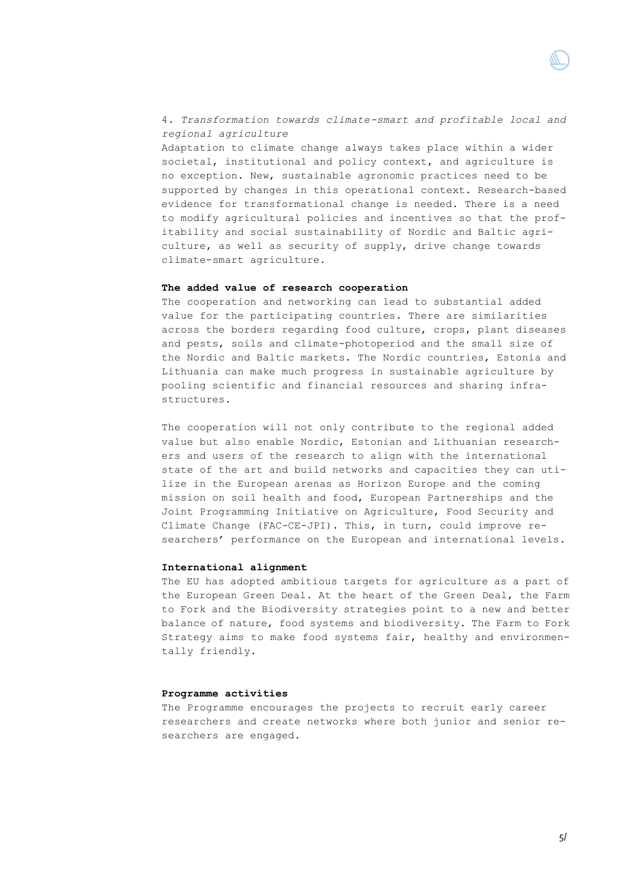4. *Transformation towards climate-smart and profitable local and regional agriculture* Adaptation to climate change always takes place within a wider societal, institutional and policy context, and agriculture is no exception. New, sustainable agronomic practices need to be supported by changes in this operational context. Research-based evidence for transformational change is needed. There is a need to modify agricultural policies and incentives so that the profitability and social sustainability of Nordic and Baltic agriculture, as well as security of supply, drive change towards climate-smart agriculture.

## **The added value of research cooperation**

The cooperation and networking can lead to substantial added value for the participating countries. There are similarities across the borders regarding food culture, crops, plant diseases and pests, soils and climate-photoperiod and the small size of the Nordic and Baltic markets. The Nordic countries, Estonia and Lithuania can make much progress in sustainable agriculture by pooling scientific and financial resources and sharing infrastructures.

The cooperation will not only contribute to the regional added value but also enable Nordic, Estonian and Lithuanian researchers and users of the research to align with the international state of the art and build networks and capacities they can utilize in the European arenas as Horizon Europe and the coming mission on soil health and food, European Partnerships and the Joint Programming Initiative on Agriculture, Food Security and Climate Change (FAC-CE-JPI). This, in turn, could improve researchers' performance on the European and international levels.

#### **International alignment**

The EU has adopted ambitious targets for agriculture as a part of the European Green Deal. At the heart of the Green Deal, the Farm to Fork and the Biodiversity strategies point to a new and better balance of nature, food systems and biodiversity. The Farm to Fork Strategy aims to make food systems fair, healthy and environmentally friendly.

#### **Programme activities**

The Programme encourages the projects to recruit early career researchers and create networks where both junior and senior researchers are engaged.